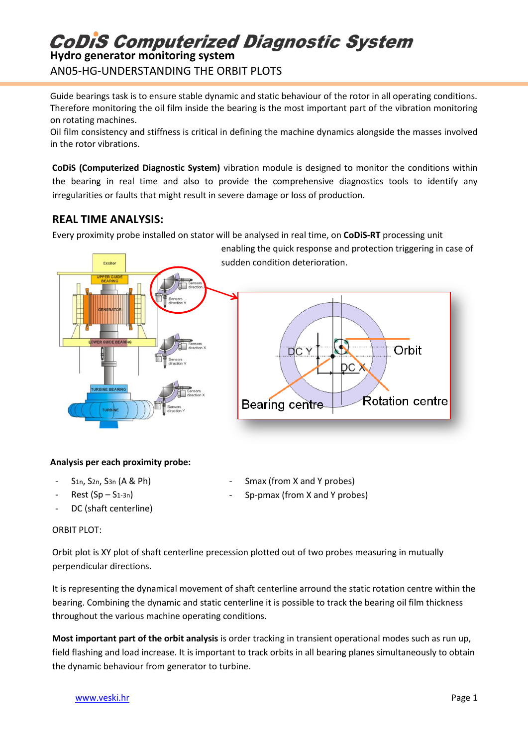# **CoDiS Computerized Diagnostic System**

**Hydro generator monitoring system** AN05-HG-UNDERSTANDING THE ORBIT PLOTS

Guide bearings task is to ensure stable dynamic and static behaviour of the rotor in all operating conditions. Therefore monitoring the oil film inside the bearing is the most important part of the vibration monitoring on rotating machines.

Oil film consistency and stiffness is critical in defining the machine dynamics alongside the masses involved in the rotor vibrations.

**CoDiS (Computerized Diagnostic System)** vibration module is designed to monitor the conditions within the bearing in real time and also to provide the comprehensive diagnostics tools to identify any irregularities or faults that might result in severe damage or loss of production.

### **REAL TIME ANALYSIS:**

Every proximity probe installed on stator will be analysed in real time, on **CoDiS-RT** processing unit



#### **Analysis per each proximity probe:**

- S<sub>1n</sub>, S<sub>2n</sub>, S<sub>3n</sub> (A & Ph)
- $Rest (Sp S<sub>1-3n</sub>)$
- DC (shaft centerline)
- Smax (from X and Y probes)
- Sp-pmax (from X and Y probes)

#### ORBIT PLOT:

Orbit plot is XY plot of shaft centerline precession plotted out of two probes measuring in mutually perpendicular directions.

It is representing the dynamical movement of shaft centerline arround the static rotation centre within the bearing. Combining the dynamic and static centerline it is possible to track the bearing oil film thickness throughout the various machine operating conditions.

**Most important part of the orbit analysis** is order tracking in transient operational modes such as run up, field flashing and load increase. It is important to track orbits in all bearing planes simultaneously to obtain the dynamic behaviour from generator to turbine.